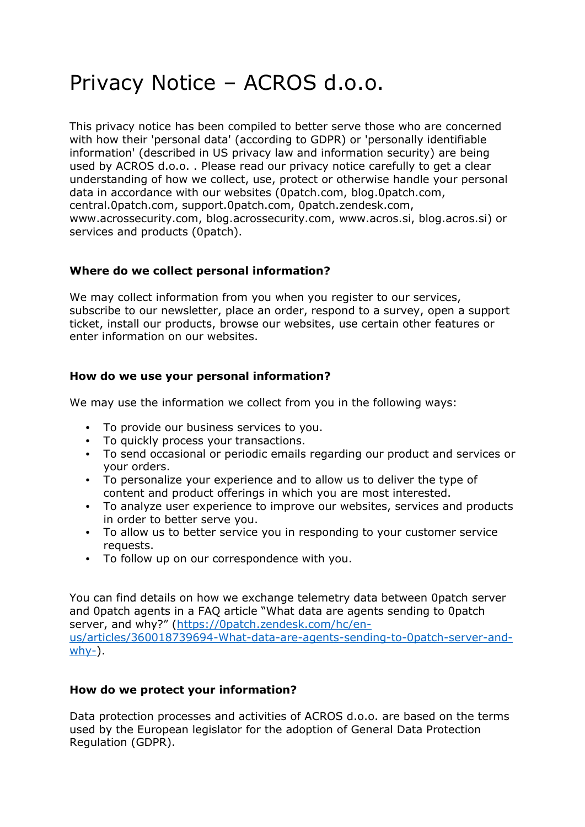# Privacy Notice – ACROS d.o.o.

This privacy notice has been compiled to better serve those who are concerned with how their 'personal data' (according to GDPR) or 'personally identifiable information' (described in US privacy law and information security) are being used by ACROS d.o.o. . Please read our privacy notice carefully to get a clear understanding of how we collect, use, protect or otherwise handle your personal data in accordance with our websites (0patch.com, blog.0patch.com, central.0patch.com, support.0patch.com, 0patch.zendesk.com, www.acrossecurity.com, blog.acrossecurity.com, www.acros.si, blog.acros.si) or services and products (0patch).

## **Where do we collect personal information?**

We may collect information from you when you register to our services, subscribe to our newsletter, place an order, respond to a survey, open a support ticket, install our products, browse our websites, use certain other features or enter information on our websites.

## **How do we use your personal information?**

We may use the information we collect from you in the following ways:

- **•** To provide our business services to you.
- **•** To quickly process your transactions.
- **•** To send occasional or periodic emails regarding our product and services or your orders.
- **•** To personalize your experience and to allow us to deliver the type of content and product offerings in which you are most interested.
- **•** To analyze user experience to improve our websites, services and products in order to better serve you.
- **•** To allow us to better service you in responding to your customer service requests.
- **•** To follow up on our correspondence with you.

You can find details on how we exchange telemetry data between 0patch server and 0patch agents in a FAQ article "What data are agents sending to 0patch server, and why?" ([https://0patch.zendesk.com/hc/en](https://0patch.zendesk.com/hc/en-us/articles/360018739694-What-data-are-agents-sending-to-0patch-server-and-why-)[us/articles/360018739694-What-data-are-agents-sending-to-0patch-server-and](https://0patch.zendesk.com/hc/en-us/articles/360018739694-What-data-are-agents-sending-to-0patch-server-and-why-)[why-\)](https://0patch.zendesk.com/hc/en-us/articles/360018739694-What-data-are-agents-sending-to-0patch-server-and-why-).

### **How do we protect your information?**

Data protection processes and activities of ACROS d.o.o. are based on the terms used by the European legislator for the adoption of General Data Protection Regulation (GDPR).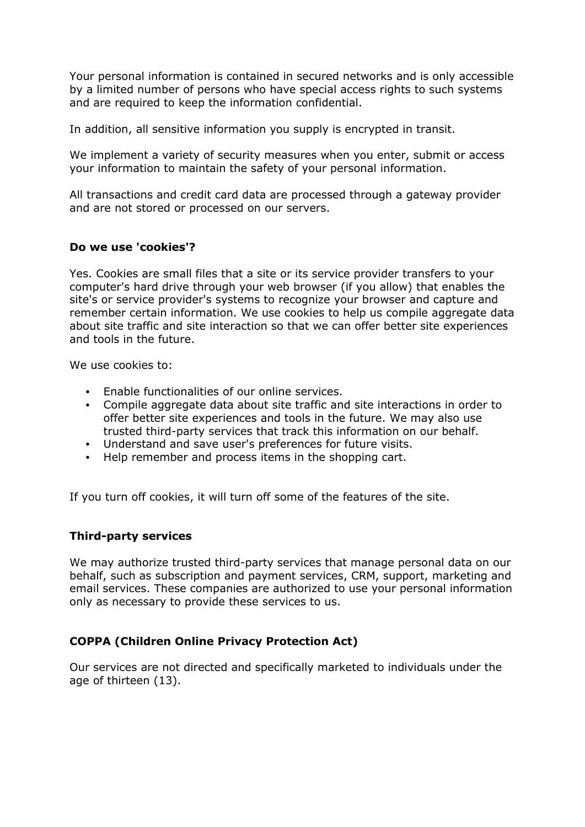Your personal information is contained in secured networks and is only accessible by a limited number of persons who have special access rights to such systems and are required to keep the information confidential.

In addition, all sensitive information you supply is encrypted in transit.

We implement a variety of security measures when you enter, submit or access your information to maintain the safety of your personal information.

All transactions and credit card data are processed through a gateway provider and are not stored or processed on our servers.

### **Do we use 'cookies'?**

Yes. Cookies are small files that a site or its service provider transfers to your computer's hard drive through your web browser (if you allow) that enables the site's or service provider's systems to recognize your browser and capture and remember certain information. We use cookies to help us compile aggregate data about site traffic and site interaction so that we can offer better site experiences and tools in the future.

We use cookies to:

- **•** Enable functionalities of our online services.
- **•** Compile aggregate data about site traffic and site interactions in order to offer better site experiences and tools in the future. We may also use trusted third-party services that track this information on our behalf.
- **•** Understand and save user's preferences for future visits.
- **•** Help remember and process items in the shopping cart.

If you turn off cookies, it will turn off some of the features of the site.

### **Third-party services**

We may authorize trusted third-party services that manage personal data on our behalf, such as subscription and payment services, CRM, support, marketing and email services. These companies are authorized to use your personal information only as necessary to provide these services to us.

### **COPPA (Children Online Privacy Protection Act)**

Our services are not directed and specifically marketed to individuals under the age of thirteen (13).